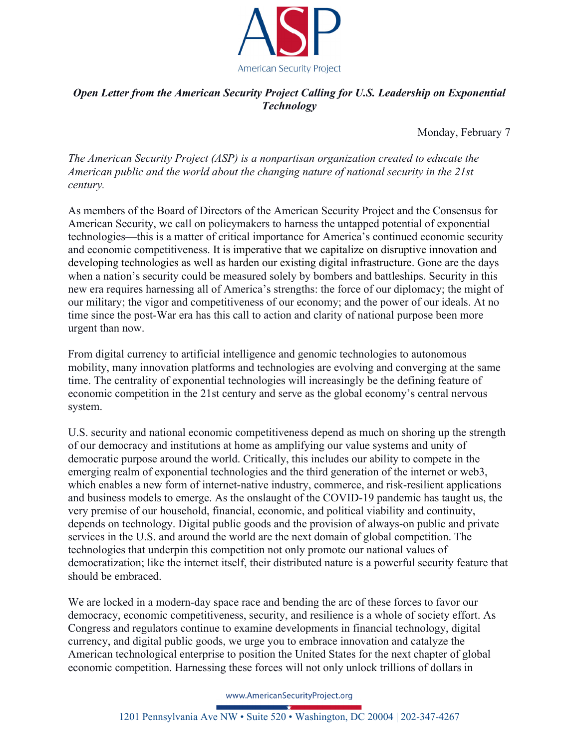

# *Open Letter from the American Security Project Calling for U.S. Leadership on Exponential Technology*

Monday, February 7

*The American Security Project (ASP) is a nonpartisan organization created to educate the American public and the world about the changing nature of national security in the 21st century.* 

As members of the Board of Directors of the American Security Project and the Consensus for American Security, we call on policymakers to harness the untapped potential of exponential technologies—this is a matter of critical importance for America's continued economic security and economic competitiveness. It is imperative that we capitalize on disruptive innovation and developing technologies as well as harden our existing digital infrastructure. Gone are the days when a nation's security could be measured solely by bombers and battleships. Security in this new era requires harnessing all of America's strengths: the force of our diplomacy; the might of our military; the vigor and competitiveness of our economy; and the power of our ideals. At no time since the post-War era has this call to action and clarity of national purpose been more urgent than now.

From digital currency to artificial intelligence and genomic technologies to autonomous mobility, many innovation platforms and technologies are evolving and converging at the same time. The centrality of exponential technologies will increasingly be the defining feature of economic competition in the 21st century and serve as the global economy's central nervous system.

U.S. security and national economic competitiveness depend as much on shoring up the strength of our democracy and institutions at home as amplifying our value systems and unity of democratic purpose around the world. Critically, this includes our ability to compete in the emerging realm of exponential technologies and the third generation of the internet or web3, which enables a new form of internet-native industry, commerce, and risk-resilient applications and business models to emerge. As the onslaught of the COVID-19 pandemic has taught us, the very premise of our household, financial, economic, and political viability and continuity, depends on technology. Digital public goods and the provision of always-on public and private services in the U.S. and around the world are the next domain of global competition. The technologies that underpin this competition not only promote our national values of democratization; like the internet itself, their distributed nature is a powerful security feature that should be embraced.

We are locked in a modern-day space race and bending the arc of these forces to favor our democracy, economic competitiveness, security, and resilience is a whole of society effort. As Congress and regulators continue to examine developments in financial technology, digital currency, and digital public goods, we urge you to embrace innovation and catalyze the American technological enterprise to position the United States for the next chapter of global economic competition. Harnessing these forces will not only unlock trillions of dollars in

www.AmericanSecurityProject.org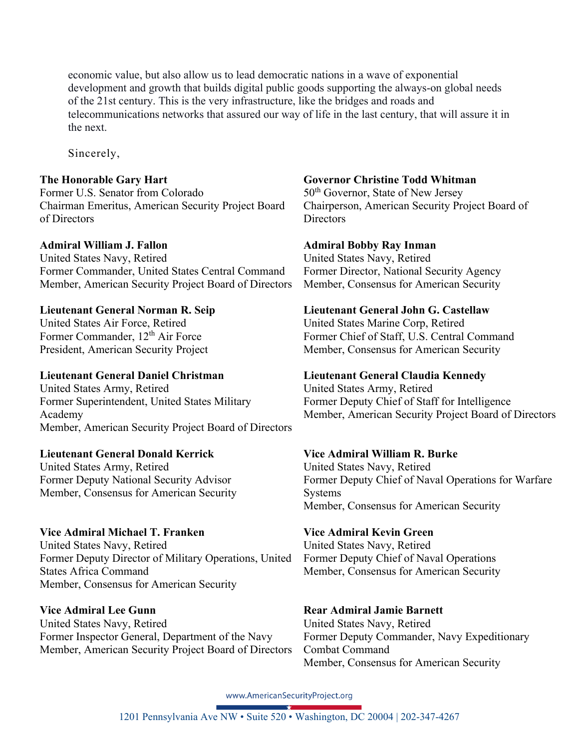economic value, but also allow us to lead democratic nations in a wave of exponential development and growth that builds digital public goods supporting the always-on global needs of the 21st century. This is the very infrastructure, like the bridges and roads and telecommunications networks that assured our way of life in the last century, that will assure it in the next.

Sincerely,

### **The Honorable Gary Hart**

Former U.S. Senator from Colorado Chairman Emeritus, American Security Project Board of Directors

### **Admiral William J. Fallon**

United States Navy, Retired Former Commander, United States Central Command Member, American Security Project Board of Directors

### **Lieutenant General Norman R. Seip**

United States Air Force, Retired Former Commander, 12<sup>th</sup> Air Force President, American Security Project

### **Lieutenant General Daniel Christman**

United States Army, Retired Former Superintendent, United States Military Academy Member, American Security Project Board of Directors

### **Lieutenant General Donald Kerrick**

United States Army, Retired Former Deputy National Security Advisor Member, Consensus for American Security

### **Vice Admiral Michael T. Franken**

United States Navy, Retired Former Deputy Director of Military Operations, United States Africa Command Member, Consensus for American Security

### **Vice Admiral Lee Gunn**

United States Navy, Retired Former Inspector General, Department of the Navy Member, American Security Project Board of Directors

### **Governor Christine Todd Whitman**

50<sup>th</sup> Governor, State of New Jersey Chairperson, American Security Project Board of **Directors** 

### **Admiral Bobby Ray Inman**

United States Navy, Retired Former Director, National Security Agency Member, Consensus for American Security

### **Lieutenant General John G. Castellaw**

United States Marine Corp, Retired Former Chief of Staff, U.S. Central Command Member, Consensus for American Security

### **Lieutenant General Claudia Kennedy**

United States Army, Retired Former Deputy Chief of Staff for Intelligence Member, American Security Project Board of Directors

### **Vice Admiral William R. Burke**

United States Navy, Retired Former Deputy Chief of Naval Operations for Warfare Systems Member, Consensus for American Security

### **Vice Admiral Kevin Green**

United States Navy, Retired Former Deputy Chief of Naval Operations Member, Consensus for American Security

## **Rear Admiral Jamie Barnett**

United States Navy, Retired Former Deputy Commander, Navy Expeditionary Combat Command Member, Consensus for American Security

www.AmericanSecurityProject.org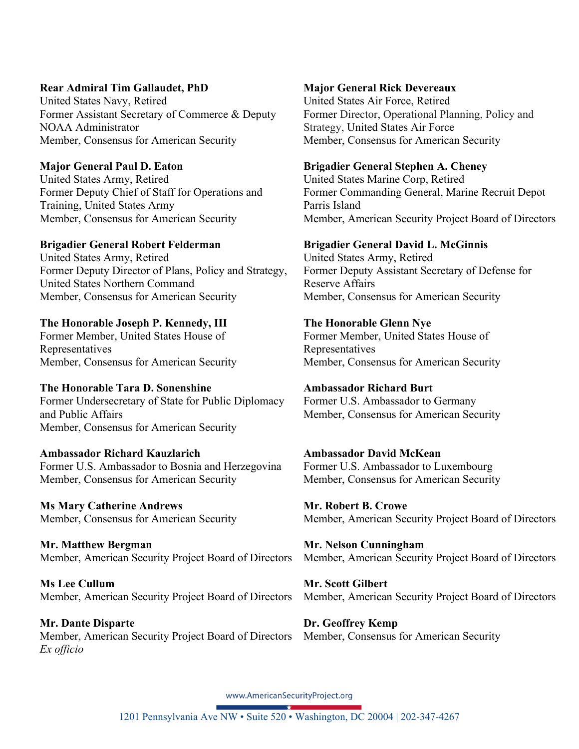### **Rear Admiral Tim Gallaudet, PhD**

United States Navy, Retired Former Assistant Secretary of Commerce & Deputy NOAA Administrator Member, Consensus for American Security

**Major General Paul D. Eaton** 

United States Army, Retired Former Deputy Chief of Staff for Operations and Training, United States Army Member, Consensus for American Security

### **Brigadier General Robert Felderman**

United States Army, Retired Former Deputy Director of Plans, Policy and Strategy, United States Northern Command Member, Consensus for American Security

### **The Honorable Joseph P. Kennedy, III**

Former Member, United States House of Representatives Member, Consensus for American Security

### **The Honorable Tara D. Sonenshine**

Former Undersecretary of State for Public Diplomacy and Public Affairs Member, Consensus for American Security

## **Ambassador Richard Kauzlarich**

Former U.S. Ambassador to Bosnia and Herzegovina Member, Consensus for American Security

**Ms Mary Catherine Andrews**  Member, Consensus for American Security

**Mr. Matthew Bergman**  Member, American Security Project Board of Directors

**Ms Lee Cullum**  Member, American Security Project Board of Directors

**Mr. Dante Disparte**  Member, American Security Project Board of Directors *Ex officio*

## **Major General Rick Devereaux**

United States Air Force, Retired Former Director, Operational Planning, Policy and Strategy, United States Air Force Member, Consensus for American Security

### **Brigadier General Stephen A. Cheney**

United States Marine Corp, Retired Former Commanding General, Marine Recruit Depot Parris Island Member, American Security Project Board of Directors

### **Brigadier General David L. McGinnis**

United States Army, Retired Former Deputy Assistant Secretary of Defense for Reserve Affairs Member, Consensus for American Security

### **The Honorable Glenn Nye**

Former Member, United States House of Representatives Member, Consensus for American Security

### **Ambassador Richard Burt**

Former U.S. Ambassador to Germany Member, Consensus for American Security

### **Ambassador David McKean**  Former U.S. Ambassador to Luxembourg Member, Consensus for American Security

**Mr. Robert B. Crowe**  Member, American Security Project Board of Directors

**Mr. Nelson Cunningham**  Member, American Security Project Board of Directors

**Mr. Scott Gilbert**  Member, American Security Project Board of Directors

**Dr. Geoffrey Kemp**  Member, Consensus for American Security

www.AmericanSecurityProject.org